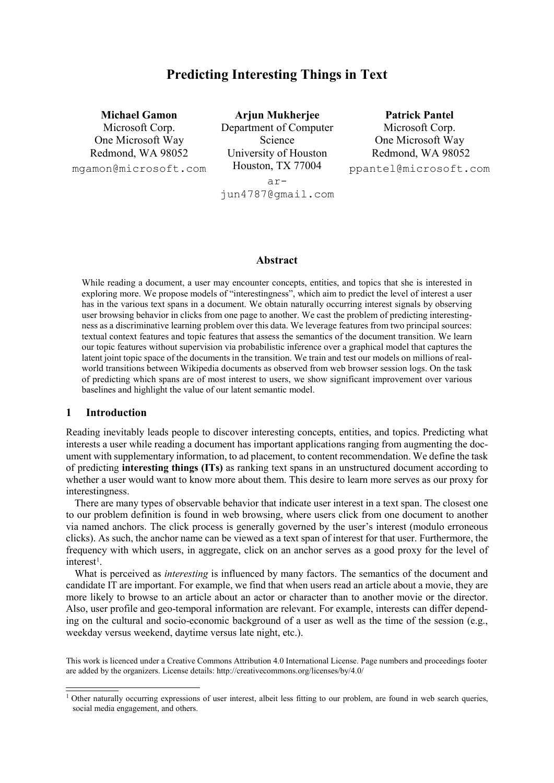# **Predicting Interesting Things in Text**

**Michael Gamon**

Microsoft Corp. One Microsoft Way Redmond, WA 98052

mgamon@microsoft.com

**Arjun Mukherjee** Department of Computer Science University of Houston Houston, TX 77004 ar**Patrick Pantel**

Microsoft Corp. One Microsoft Way Redmond, WA 98052 ppantel@microsoft.com

jun4787@gmail.com

## **Abstract**

While reading a document, a user may encounter concepts, entities, and topics that she is interested in exploring more. We propose models of "interestingness", which aim to predict the level of interest a user has in the various text spans in a document. We obtain naturally occurring interest signals by observing user browsing behavior in clicks from one page to another. We cast the problem of predicting interestingness as a discriminative learning problem over this data. We leverage features from two principal sources: textual context features and topic features that assess the semantics of the document transition. We learn our topic features without supervision via probabilistic inference over a graphical model that captures the latent joint topic space of the documents in the transition. We train and test our models on millions of realworld transitions between Wikipedia documents as observed from web browser session logs. On the task of predicting which spans are of most interest to users, we show significant improvement over various baselines and highlight the value of our latent semantic model.

## **1 Introduction**

Reading inevitably leads people to discover interesting concepts, entities, and topics. Predicting what interests a user while reading a document has important applications ranging from augmenting the document with supplementary information, to ad placement, to content recommendation. We define the task of predicting **interesting things (ITs)** as ranking text spans in an unstructured document according to whether a user would want to know more about them. This desire to learn more serves as our proxy for interestingness.

There are many types of observable behavior that indicate user interest in a text span. The closest one to our problem definition is found in web browsing, where users click from one document to another via named anchors. The click process is generally governed by the user's interest (modulo erroneous clicks). As such, the anchor name can be viewed as a text span of interest for that user. Furthermore, the frequency with which users, in aggregate, click on an anchor serves as a good proxy for the level of interest<sup>[1](#page-0-0)</sup>.

What is perceived as *interesting* is influenced by many factors. The semantics of the document and candidate IT are important. For example, we find that when users read an article about a movie, they are more likely to browse to an article about an actor or character than to another movie or the director. Also, user profile and geo-temporal information are relevant. For example, interests can differ depending on the cultural and socio-economic background of a user as well as the time of the session (e.g., weekday versus weekend, daytime versus late night, etc.).

This work is licenced under a Creative Commons Attribution 4.0 International License. Page numbers and proceedings footer are added by the organizers. License details: http://creativecommons.org/licenses/by/4.0/

<span id="page-0-0"></span><sup>&</sup>lt;sup>1</sup> Other naturally occurring expressions of user interest, albeit less fitting to our problem, are found in web search queries, social media engagement, and others.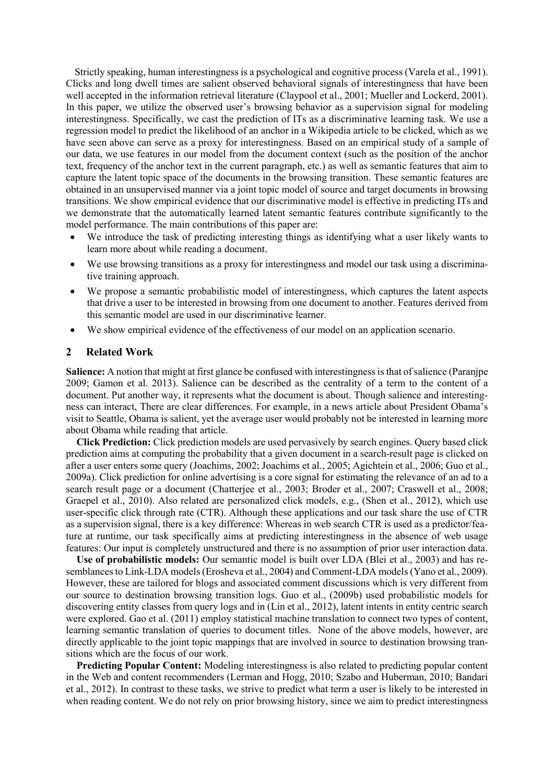Strictly speaking, human interestingness is a psychological and cognitive process (Varela et al., 1991). Clicks and long dwell times are salient observed behavioral signals of interestingness that have been well accepted in the information retrieval literature (Claypool et al., 2001; Mueller and Lockerd, 2001). In this paper, we utilize the observed user's browsing behavior as a supervision signal for modeling interestingness. Specifically, we cast the prediction of ITs as a discriminative learning task. We use a regression model to predict the likelihood of an anchor in a Wikipedia article to be clicked, which as we have seen above can serve as a proxy for interestingness. Based on an empirical study of a sample of our data, we use features in our model from the document context (such as the position of the anchor text, frequency of the anchor text in the current paragraph, etc.) as well as semantic features that aim to capture the latent topic space of the documents in the browsing transition. These semantic features are obtained in an unsupervised manner via a joint topic model of source and target documents in browsing transitions. We show empirical evidence that our discriminative model is effective in predicting ITs and we demonstrate that the automatically learned latent semantic features contribute significantly to the model performance. The main contributions of this paper are:

- We introduce the task of predicting interesting things as identifying what a user likely wants to learn more about while reading a document.
- We use browsing transitions as a proxy for interestingness and model our task using a discriminative training approach.
- We propose a semantic probabilistic model of interestingness, which captures the latent aspects that drive a user to be interested in browsing from one document to another. Features derived from this semantic model are used in our discriminative learner.
- We show empirical evidence of the effectiveness of our model on an application scenario.

## **2 Related Work**

**Salience:** A notion that might at first glance be confused with interestingness is that of salience (Paranjpe 2009; Gamon et al. 2013). Salience can be described as the centrality of a term to the content of a document. Put another way, it represents what the document is about. Though salience and interestingness can interact, There are clear differences. For example, in a news article about President Obama's visit to Seattle, Obama is salient, yet the average user would probably not be interested in learning more about Obama while reading that article.

**Click Prediction:** Click prediction models are used pervasively by search engines. Query based click prediction aims at computing the probability that a given document in a search-result page is clicked on after a user enters some query (Joachims, 2002; Joachims et al., 2005; Agichtein et al., 2006; Guo et al., 2009a). Click prediction for online advertising is a core signal for estimating the relevance of an ad to a search result page or a document (Chatterjee et al., 2003; Broder et al., 2007; Craswell et al., 2008; Graepel et al., 2010). Also related are personalized click models, e.g., (Shen et al., 2012), which use user-specific click through rate (CTR). Although these applications and our task share the use of CTR as a supervision signal, there is a key difference: Whereas in web search CTR is used as a predictor/feature at runtime, our task specifically aims at predicting interestingness in the absence of web usage features: Our input is completely unstructured and there is no assumption of prior user interaction data.

**Use of probabilistic models:** Our semantic model is built over LDA (Blei et al., 2003) and has resemblances to Link-LDA models (Erosheva et al., 2004) and Comment-LDA models (Yano et al., 2009). However, these are tailored for blogs and associated comment discussions which is very different from our source to destination browsing transition logs. Guo et al., (2009b) used probabilistic models for discovering entity classes from query logs and in (Lin et al., 2012), latent intents in entity centric search were explored. Gao et al. (2011) employ statistical machine translation to connect two types of content, learning semantic translation of queries to document titles. None of the above models, however, are directly applicable to the joint topic mappings that are involved in source to destination browsing transitions which are the focus of our work.

**Predicting Popular Content:** Modeling interestingness is also related to predicting popular content in the Web and content recommenders (Lerman and Hogg, 2010; Szabo and Huberman, 2010; Bandari et al., 2012). In contrast to these tasks, we strive to predict what term a user is likely to be interested in when reading content. We do not rely on prior browsing history, since we aim to predict interestingness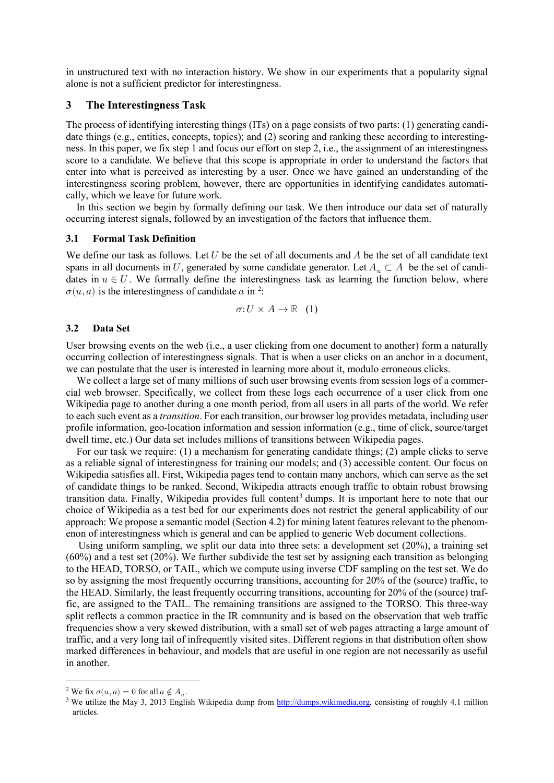in unstructured text with no interaction history. We show in our experiments that a popularity signal alone is not a sufficient predictor for interestingness.

## **3 The Interestingness Task**

The process of identifying interesting things (ITs) on a page consists of two parts: (1) generating candidate things (e.g., entities, concepts, topics); and (2) scoring and ranking these according to interestingness. In this paper, we fix step 1 and focus our effort on step 2, i.e., the assignment of an interestingness score to a candidate. We believe that this scope is appropriate in order to understand the factors that enter into what is perceived as interesting by a user. Once we have gained an understanding of the interestingness scoring problem, however, there are opportunities in identifying candidates automatically, which we leave for future work.

In this section we begin by formally defining our task. We then introduce our data set of naturally occurring interest signals, followed by an investigation of the factors that influence them.

## **3.1 Formal Task Definition**

We define our task as follows. Let  $U$  be the set of all documents and  $A$  be the set of all candidate text spans in all documents in U, generated by some candidate generator. Let  $A_u \subset A$  be the set of candidates in  $u \in U$ . We formally define the interestingness task as learning the function below, where  $\sigma(u, a)$  is the interestingness of candidate a in <sup>[2](#page-2-0)</sup>:

$$
\sigma: U \times A \to \mathbb{R} \quad (1)
$$

#### **3.2 Data Set**

User browsing events on the web (i.e., a user clicking from one document to another) form a naturally occurring collection of interestingness signals. That is when a user clicks on an anchor in a document, we can postulate that the user is interested in learning more about it, modulo erroneous clicks.

We collect a large set of many millions of such user browsing events from session logs of a commercial web browser. Specifically, we collect from these logs each occurrence of a user click from one Wikipedia page to another during a one month period, from all users in all parts of the world. We refer to each such event as a *transition*. For each transition, our browser log provides metadata, including user profile information, geo-location information and session information (e.g., time of click, source/target dwell time, etc.) Our data set includes millions of transitions between Wikipedia pages.

For our task we require: (1) a mechanism for generating candidate things; (2) ample clicks to serve as a reliable signal of interestingness for training our models; and (3) accessible content. Our focus on Wikipedia satisfies all. First, Wikipedia pages tend to contain many anchors, which can serve as the set of candidate things to be ranked. Second, Wikipedia attracts enough traffic to obtain robust browsing transition data. Finally, Wikipedia provides full content<sup>[3](#page-2-1)</sup> dumps. It is important here to note that our choice of Wikipedia as a test bed for our experiments does not restrict the general applicability of our approach: We propose a semantic model (Section 4.2) for mining latent features relevant to the phenomenon of interestingness which is general and can be applied to generic Web document collections.

Using uniform sampling, we split our data into three sets: a development set (20%), a training set (60%) and a test set (20%). We further subdivide the test set by assigning each transition as belonging to the HEAD, TORSO, or TAIL, which we compute using inverse CDF sampling on the test set. We do so by assigning the most frequently occurring transitions, accounting for 20% of the (source) traffic, to the HEAD. Similarly, the least frequently occurring transitions, accounting for 20% of the (source) traffic, are assigned to the TAIL. The remaining transitions are assigned to the TORSO. This three-way split reflects a common practice in the IR community and is based on the observation that web traffic frequencies show a very skewed distribution, with a small set of web pages attracting a large amount of traffic, and a very long tail of infrequently visited sites. Different regions in that distribution often show marked differences in behaviour, and models that are useful in one region are not necessarily as useful in another.

<span id="page-2-1"></span><span id="page-2-0"></span><sup>&</sup>lt;sup>2</sup> We fix  $\sigma(u, a) = 0$  for all  $a \notin A_u$ .<br><sup>3</sup> We utilize the May 3, 2013 English Wikipedia dump from <u>http://dumps.wikimedia.org</u>, consisting of roughly 4.1 million articles.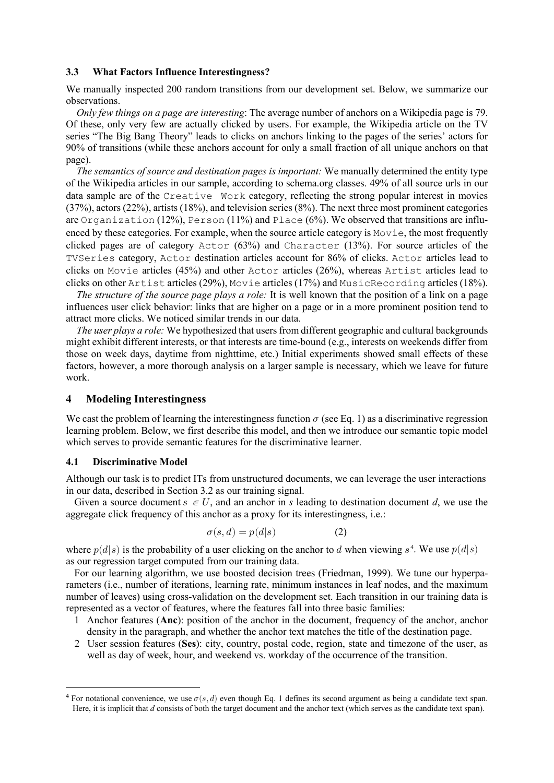#### **3.3 What Factors Influence Interestingness?**

We manually inspected 200 random transitions from our development set. Below, we summarize our observations.

*Only few things on a page are interesting*: The average number of anchors on a Wikipedia page is 79. Of these, only very few are actually clicked by users. For example, the Wikipedia article on the TV series "The Big Bang Theory" leads to clicks on anchors linking to the pages of the series' actors for 90% of transitions (while these anchors account for only a small fraction of all unique anchors on that page).

*The semantics of source and destination pages is important:* We manually determined the entity type of the Wikipedia articles in our sample, according to schema.org classes. 49% of all source urls in our data sample are of the Creative Work category, reflecting the strong popular interest in movies (37%), actors (22%), artists (18%), and television series (8%). The next three most prominent categories are Organization (12%), Person (11%) and Place (6%). We observed that transitions are influenced by these categories. For example, when the source article category is Movie, the most frequently clicked pages are of category  $Actor$  (63%) and Character (13%). For source articles of the TVSeries category, Actor destination articles account for 86% of clicks. Actor articles lead to clicks on Movie articles (45%) and other Actor articles (26%), whereas Artist articles lead to clicks on other Artist articles (29%), Movie articles (17%) and MusicRecording articles (18%).

*The structure of the source page plays a role:* It is well known that the position of a link on a page influences user click behavior: links that are higher on a page or in a more prominent position tend to attract more clicks. We noticed similar trends in our data.

*The user plays a role:* We hypothesized that users from different geographic and cultural backgrounds might exhibit different interests, or that interests are time-bound (e.g., interests on weekends differ from those on week days, daytime from nighttime, etc.) Initial experiments showed small effects of these factors, however, a more thorough analysis on a larger sample is necessary, which we leave for future work.

#### **4 Modeling Interestingness**

We cast the problem of learning the interestingness function  $\sigma$  (see Eq. 1) as a discriminative regression learning problem. Below, we first describe this model, and then we introduce our semantic topic model which serves to provide semantic features for the discriminative learner.

#### **4.1 Discriminative Model**

Although our task is to predict ITs from unstructured documents, we can leverage the user interactions in our data, described in Section 3.2 as our training signal.

Given a source document  $s \in U$ , and an anchor in s leading to destination document d, we use the aggregate click frequency of this anchor as a proxy for its interestingness, i.e.:

$$
\sigma(s,d) = p(d|s) \tag{2}
$$

where  $p(d|s)$  is the probability of a user clicking on the anchor to d when viewing  $s^4$ . We use  $p(d|s)$ as our regression target computed from our training data.

For our learning algorithm, we use boosted decision trees (Friedman, 1999). We tune our hyperparameters (i.e., number of iterations, learning rate, minimum instances in leaf nodes, and the maximum number of leaves) using cross-validation on the development set. Each transition in our training data is represented as a vector of features, where the features fall into three basic families:

- 1 Anchor features (**Anc**): position of the anchor in the document, frequency of the anchor, anchor density in the paragraph, and whether the anchor text matches the title of the destination page.
- 2 User session features (**Ses**): city, country, postal code, region, state and timezone of the user, as well as day of week, hour, and weekend vs. workday of the occurrence of the transition.

<sup>&</sup>lt;sup>4</sup> For notational convenience, we use  $\sigma(s, d)$  even though Eq. 1 defines its second argument as being a candidate text span. Here, it is implicit that *d* consists of both the target document and the anchor text (which serves as the candidate text span).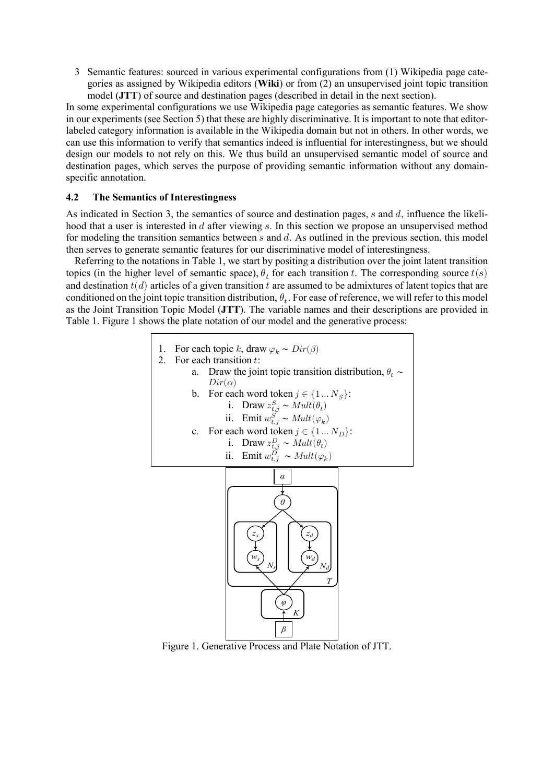3 Semantic features: sourced in various experimental configurations from (1) Wikipedia page categories as assigned by Wikipedia editors (**Wiki**) or from (2) an unsupervised joint topic transition model (**JTT**) of source and destination pages (described in detail in the next section).

In some experimental configurations we use Wikipedia page categories as semantic features. We show in our experiments (see Section 5) that these are highly discriminative. It is important to note that editorlabeled category information is available in the Wikipedia domain but not in others. In other words, we can use this information to verify that semantics indeed is influential for interestingness, but we should design our models to not rely on this. We thus build an unsupervised semantic model of source and destination pages, which serves the purpose of providing semantic information without any domainspecific annotation.

## **4.2 The Semantics of Interestingness**

As indicated in Section 3, the semantics of source and destination pages,  $s$  and  $d$ , influence the likelihood that a user is interested in  $d$  after viewing  $s$ . In this section we propose an unsupervised method for modeling the transition semantics between  $s$  and  $d$ . As outlined in the previous section, this model then serves to generate semantic features for our discriminative model of interestingness.

Referring to the notations in Table 1, we start by positing a distribution over the joint latent transition topics (in the higher level of semantic space),  $\theta_t$  for each transition t. The corresponding source  $t(s)$ and destination  $t(d)$  articles of a given transition  $t$  are assumed to be admixtures of latent topics that are conditioned on the joint topic transition distribution,  $\theta_t$ . For ease of reference, we will refer to this model as the Joint Transition Topic Model (**JTT**). The variable names and their descriptions are provided in Table 1. Figure 1 shows the plate notation of our model and the generative process:

- 1. For each topic k, draw  $\varphi_k \sim Dir(\beta)$
- 2. For each transition  $t$ :
	- a. Draw the joint topic transition distribution,  $\theta_t \sim Dir(\alpha)$  $Dir(\alpha)$ 
		- b. For each word token  $j \in \{1...N_S\}$ :
			- i. Draw  $z_{t,j}^S \sim Mult(\theta_t)$
			- ii. Emit  $w_{t,j}^S \sim Mult(\varphi_k)$
		- c. For each word token  $j \in \{1...N_D\}$ :
			- i. Draw  $z_{t,j}^D \sim Mult(\theta_t)$

ii. Emit 
$$
w_{t,j}^D \sim Mult(\varphi_k)
$$



Figure 1. Generative Process and Plate Notation of JTT.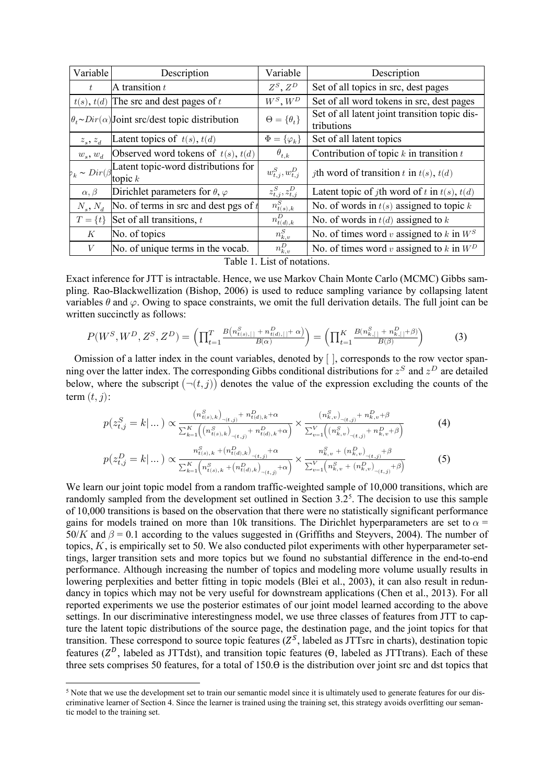| Variable        | Description                                                            | Variable                                            | Description                                                 |
|-----------------|------------------------------------------------------------------------|-----------------------------------------------------|-------------------------------------------------------------|
| t               | A transition $t$                                                       | $Z^S$ , $Z^D$                                       | Set of all topics in src, dest pages                        |
| t(s), t(d)      | The src and dest pages of $t$                                          | $W^S, W^D$                                          | Set of all word tokens in src, dest pages                   |
|                 | $\theta_t \sim Dir(\alpha)$ Joint src/dest topic distribution          | $\Theta = \{\theta_t\}$                             | Set of all latent joint transition topic dis-<br>tributions |
| $z_s$ , $z_d$   | Latent topics of $t(s)$ , $t(d)$                                       | $\Phi = {\varphi_k}$                                | Set of all latent topics                                    |
| $w_s, w_d$      | Observed word tokens of $t(s)$ , $t(d)$                                | $\theta_{t,k}$                                      | Contribution of topic $k$ in transition $t$                 |
|                 | $P_k \sim Dir(\beta)$ Latent topic-word distributions for<br>topic $k$ | $w_{t,j}^{S}, w_{t,j}^{D}$                          | <i>j</i> th word of transition t in $t(s)$ , $t(d)$         |
| $\alpha, \beta$ | Dirichlet parameters for $\theta$ , $\varphi$                          | $z_{t,j}^S, z_{t,j}^D$                              | Latent topic of <i>j</i> th word of t in $t(s)$ , $t(d)$    |
| $N_s, N_d$      | No. of terms in src and dest pgs of $t$                                | $n_{t(s),k}^{\overline{S}}$                         | No. of words in $t(s)$ assigned to topic k                  |
| $T = \{t\}$     | Set of all transitions, $t$                                            | $n_{\underline{t}(\underline{d}),k}^{\overline{D}}$ | No. of words in $t(d)$ assigned to $k$                      |
| К               | No. of topics                                                          | $n_{k,v}^S$                                         | No. of times word v assigned to k in $W^S$                  |
| V               | No. of unique terms in the vocab.<br>m 11 1 T 1 0                      | $n_{k,v}^D$                                         | No. of times word v assigned to $k$ in $W^D$                |

| Table 1. List of notations. |  |  |  |  |
|-----------------------------|--|--|--|--|
|-----------------------------|--|--|--|--|

Exact inference for JTT is intractable. Hence, we use Markov Chain Monte Carlo (MCMC) Gibbs sampling. Rao-Blackwellization (Bishop, 2006) is used to reduce sampling variance by collapsing latent variables  $\theta$  and  $\varphi$ . Owing to space constraints, we omit the full derivation details. The full joint can be written succinctly as follows:

$$
P(W^S, W^D, Z^S, Z^D) = \left(\prod_{t=1}^T \frac{B\left(n_{t(s),[\cdot]}^S + n_{t(d),[\cdot]}^D + \alpha\right)}{B(\alpha)}\right) = \left(\prod_{t=1}^K \frac{B\left(n_{k,[\cdot]}^S + n_{k,[\cdot]}^D + \beta\right)}{B(\beta)}\right)
$$
(3)

Omission of a latter index in the count variables, denoted by [ ], corresponds to the row vector spanning over the latter index. The corresponding Gibbs conditional distributions for  $z<sup>S</sup>$  and  $z<sup>D</sup>$  are detailed below, where the subscript  $(\neg(t, j))$  denotes the value of the expression excluding the counts of the term  $(t, j)$ :

$$
p(z_{t,j}^{S} = k | ... ) \propto \frac{(n_{t(s),k}^{S})_{\neg(t,j)} + n_{t(d),k}^{D} + \alpha}{\sum_{k=1}^{K} \left( (n_{t(s),k}^{S})_{\neg(t,j)} + n_{t(d),k}^{D} + \alpha} \right)} \times \frac{(n_{k,v}^{S})_{\neg(t,j)} + n_{k,v}^{D} + \beta}{\sum_{v=1}^{V} \left( (n_{k,v}^{S})_{\neg(t,j)} + n_{k,v}^{D} + \beta \right)}
$$
(4)  

$$
p(z_{t,j}^{D} = k | ... ) \propto \frac{n_{t(s),k}^{S} + (n_{t(d),k}^{D})_{\neg(t,j)} + \alpha}{\sum_{k=1}^{K} \left( n_{t(s),k}^{S} + (n_{t(d),k}^{D})_{\neg(t,j)} + \alpha} \right)} \times \frac{n_{k,v}^{S} + (n_{k,v}^{D})_{\neg(t,j)} + \beta}{\sum_{v=1}^{V} \left( n_{k,v}^{S} + (n_{k,v}^{D})_{\neg(t,j)} + \beta \right)}
$$
(5)

We learn our joint topic model from a random traffic-weighted sample of 10,000 transitions, which are randomly sampled from the development set outlined in Section  $3.2<sup>5</sup>$  $3.2<sup>5</sup>$  $3.2<sup>5</sup>$ . The decision to use this sample of 10,000 transitions is based on the observation that there were no statistically significant performance gains for models trained on more than 10k transitions. The Dirichlet hyperparameters are set to  $\alpha$  =  $50/K$  and  $\beta = 0.1$  according to the values suggested in (Griffiths and Steyvers, 2004). The number of topics,  $K$ , is empirically set to 50. We also conducted pilot experiments with other hyperparameter settings, larger transition sets and more topics but we found no substantial difference in the end-to-end performance. Although increasing the number of topics and modeling more volume usually results in lowering perplexities and better fitting in topic models (Blei et al., 2003), it can also result in redundancy in topics which may not be very useful for downstream applications (Chen et al., 2013). For all reported experiments we use the posterior estimates of our joint model learned according to the above settings. In our discriminative interestingness model, we use three classes of features from JTT to capture the latent topic distributions of the source page, the destination page, and the joint topics for that transition. These correspond to source topic features  $(Z^S)$ , labeled as JTTsrc in charts), destination topic features ( $Z<sup>D</sup>$ , labeled as JTTdst), and transition topic features ( $\Theta$ , labeled as JTTtrans). Each of these three sets comprises 50 features, for a total of 150.ϴ is the distribution over joint src and dst topics that

<span id="page-5-0"></span><sup>&</sup>lt;sup>5</sup> Note that we use the development set to train our semantic model since it is ultimately used to generate features for our discriminative learner of Section 4. Since the learner is trained using the training set, this strategy avoids overfitting our semantic model to the training set.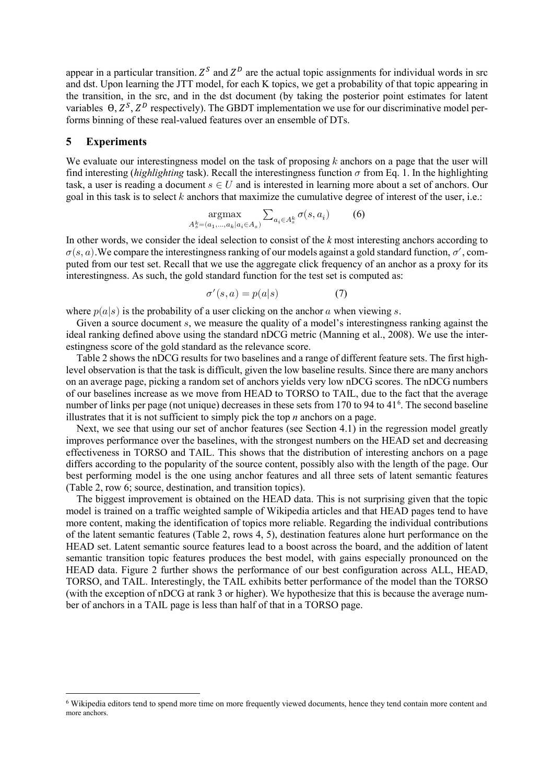appear in a particular transition.  $Z^S$  and  $Z^D$  are the actual topic assignments for individual words in src and dst. Upon learning the JTT model, for each K topics, we get a probability of that topic appearing in the transition, in the src, and in the dst document (by taking the posterior point estimates for latent variables  $\Theta$ ,  $Z^S$ ,  $Z^D$  respectively). The GBDT implementation we use for our discriminative model performs binning of these real-valued features over an ensemble of DTs.

## **5 Experiments**

We evaluate our interestingness model on the task of proposing  $k$  anchors on a page that the user will find interesting (*highlighting* task). Recall the interestingness function  $\sigma$  from Eq. 1. In the highlighting task, a user is reading a document  $s \in U$  and is interested in learning more about a set of anchors. Our goal in this task is to select  $k$  anchors that maximize the cumulative degree of interest of the user, i.e.:

$$
\underset{A_s^k = (a_1, \dots, a_k | a_i \in A_s)}{\operatorname{argmax}} \sum_{a_i \in A_s^k} \sigma(s, a_i) \tag{6}
$$

In other words, we consider the ideal selection to consist of the *k* most interesting anchors according to  $\sigma(s, a)$ . We compare the interestingness ranking of our models against a gold standard function,  $\sigma'$ , computed from our test set. Recall that we use the aggregate click frequency of an anchor as a proxy for its interestingness. As such, the gold standard function for the test set is computed as:

$$
\sigma'(s, a) = p(a|s) \tag{7}
$$

where  $p(a|s)$  is the probability of a user clicking on the anchor a when viewing s.

Given a source document  $s$ , we measure the quality of a model's interestingness ranking against the ideal ranking defined above using the standard nDCG metric (Manning et al., 2008). We use the interestingness score of the gold standard as the relevance score.

Table 2 shows the nDCG results for two baselines and a range of different feature sets. The first highlevel observation is that the task is difficult, given the low baseline results. Since there are many anchors on an average page, picking a random set of anchors yields very low nDCG scores. The nDCG numbers of our baselines increase as we move from HEAD to TORSO to TAIL, due to the fact that the average number of links per page (not unique) decreases in these sets from 170 to 94 to 41<sup>[6](#page-6-0)</sup>. The second baseline illustrates that it is not sufficient to simply pick the top *n* anchors on a page.

Next, we see that using our set of anchor features (see Section 4.1) in the regression model greatly improves performance over the baselines, with the strongest numbers on the HEAD set and decreasing effectiveness in TORSO and TAIL. This shows that the distribution of interesting anchors on a page differs according to the popularity of the source content, possibly also with the length of the page. Our best performing model is the one using anchor features and all three sets of latent semantic features (Table 2, row 6; source, destination, and transition topics).

The biggest improvement is obtained on the HEAD data. This is not surprising given that the topic model is trained on a traffic weighted sample of Wikipedia articles and that HEAD pages tend to have more content, making the identification of topics more reliable. Regarding the individual contributions of the latent semantic features (Table 2, rows 4, 5), destination features alone hurt performance on the HEAD set. Latent semantic source features lead to a boost across the board, and the addition of latent semantic transition topic features produces the best model, with gains especially pronounced on the HEAD data. Figure 2 further shows the performance of our best configuration across ALL, HEAD, TORSO, and TAIL. Interestingly, the TAIL exhibits better performance of the model than the TORSO (with the exception of nDCG at rank 3 or higher). We hypothesize that this is because the average number of anchors in a TAIL page is less than half of that in a TORSO page.

<span id="page-6-0"></span><sup>6</sup> Wikipedia editors tend to spend more time on more frequently viewed documents, hence they tend contain more content and more anchors.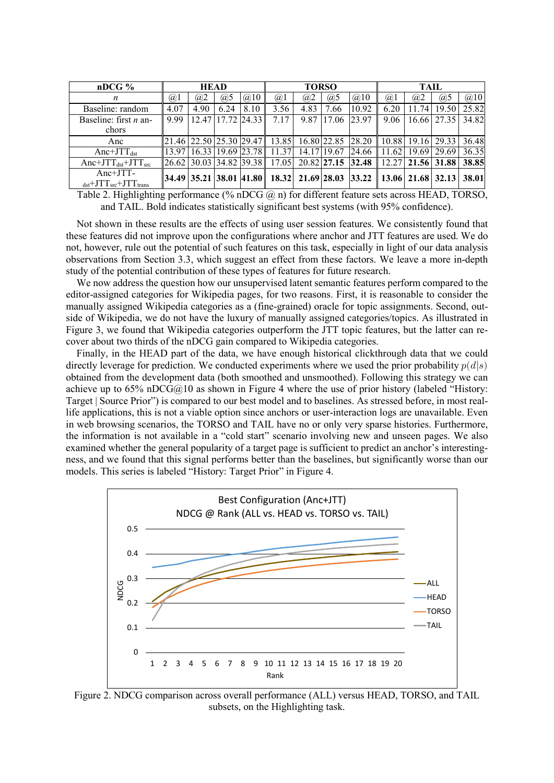| $nDCG$ %                                                  | <b>HEAD</b> |                               |         | <b>TORSO</b> |                                                 |             |       | TAIL                                                                                    |            |       |                         |       |
|-----------------------------------------------------------|-------------|-------------------------------|---------|--------------|-------------------------------------------------|-------------|-------|-----------------------------------------------------------------------------------------|------------|-------|-------------------------|-------|
| n                                                         | (a)         | (a)2                          | $(a)$ 5 | @10          | @1                                              | (a)2        | @5    | @10                                                                                     | $\omega$ 1 | (a)2  | (a)5                    | @10   |
| Baseline: random                                          | 4.07        | 4.90                          | 6.24    | 8.10         | 3.56                                            | 4.83        | .66   | 10.92                                                                                   | 6.20       | 11.74 | 19.50                   | 25.82 |
| Baseline: first $n$ an-                                   | 999         | 12.47                         |         | 17.72 24.33  | 7.17                                            | 9.87        | 17.06 | 23.97                                                                                   | 9.06       |       | 16.66 27.35             | 34.82 |
| chors                                                     |             |                               |         |              |                                                 |             |       |                                                                                         |            |       |                         |       |
| Anc                                                       |             |                               |         |              | 21.46 22.50 25.30 29.47 13.85 16.80 22.85 28.20 |             |       |                                                                                         |            |       | 10.88   19.16   29.33   | 36.48 |
| $Anc+JTT_{dst}$                                           |             | 13.97   16.33   19.69   23.78 |         |              | 11.37                                           | 14.17 19.67 |       | 24.66                                                                                   | 11.62      |       | 19.69   29.69           | 36.35 |
| Anc+J $TT_{dst}$ +J $TT_{src}$                            |             |                               |         |              |                                                 |             |       | 26.62 30.03 34.82 39.38 17.05 20.82 27.15 32.48                                         |            |       | $12.27$   21.56   31.88 | 38.85 |
| $Anc+JTT-$                                                |             |                               |         |              |                                                 |             |       | 34.49   35.21   38.01   41.80    18.32   21.69   28.03   33.22    13.06   21.68   32.13 |            |       |                         | 38.01 |
| $_{\text{dst}}$ +JTT <sub>src</sub> +JTT <sub>trans</sub> |             |                               |         |              |                                                 |             |       |                                                                                         |            |       |                         |       |

Table 2. Highlighting performance (% nDCG  $\omega$ ) for different feature sets across HEAD, TORSO, and TAIL. Bold indicates statistically significant best systems (with 95% confidence).

Not shown in these results are the effects of using user session features. We consistently found that these features did not improve upon the configurations where anchor and JTT features are used. We do not, however, rule out the potential of such features on this task, especially in light of our data analysis observations from Section 3.3, which suggest an effect from these factors. We leave a more in-depth study of the potential contribution of these types of features for future research.

We now address the question how our unsupervised latent semantic features perform compared to the editor-assigned categories for Wikipedia pages, for two reasons. First, it is reasonable to consider the manually assigned Wikipedia categories as a (fine-grained) oracle for topic assignments. Second, outside of Wikipedia, we do not have the luxury of manually assigned categories/topics. As illustrated in Figure 3, we found that Wikipedia categories outperform the JTT topic features, but the latter can recover about two thirds of the nDCG gain compared to Wikipedia categories.

Finally, in the HEAD part of the data, we have enough historical clickthrough data that we could directly leverage for prediction. We conducted experiments where we used the prior probability  $p(d|s)$ obtained from the development data (both smoothed and unsmoothed). Following this strategy we can achieve up to 65% nDCG@10 as shown in Figure 4 where the use of prior history (labeled "History: Target | Source Prior") is compared to our best model and to baselines. As stressed before, in most reallife applications, this is not a viable option since anchors or user-interaction logs are unavailable. Even in web browsing scenarios, the TORSO and TAIL have no or only very sparse histories. Furthermore, the information is not available in a "cold start" scenario involving new and unseen pages. We also examined whether the general popularity of a target page is sufficient to predict an anchor's interestingness, and we found that this signal performs better than the baselines, but significantly worse than our models. This series is labeled "History: Target Prior" in Figure 4.



Figure 2. NDCG comparison across overall performance (ALL) versus HEAD, TORSO, and TAIL subsets, on the Highlighting task.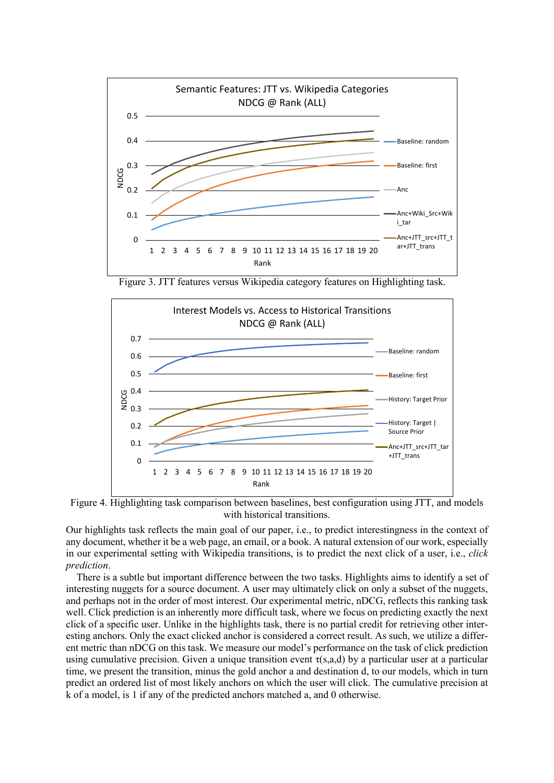

Figure 3. JTT features versus Wikipedia category features on Highlighting task.



Figure 4. Highlighting task comparison between baselines, best configuration using JTT, and models with historical transitions.

Our highlights task reflects the main goal of our paper, i.e., to predict interestingness in the context of any document, whether it be a web page, an email, or a book. A natural extension of our work, especially in our experimental setting with Wikipedia transitions, is to predict the next click of a user, i.e., *click prediction*.

There is a subtle but important difference between the two tasks. Highlights aims to identify a set of interesting nuggets for a source document. A user may ultimately click on only a subset of the nuggets, and perhaps not in the order of most interest. Our experimental metric, nDCG, reflects this ranking task well. Click prediction is an inherently more difficult task, where we focus on predicting exactly the next click of a specific user. Unlike in the highlights task, there is no partial credit for retrieving other interesting anchors. Only the exact clicked anchor is considered a correct result. As such, we utilize a different metric than nDCG on this task. We measure our model's performance on the task of click prediction using cumulative precision. Given a unique transition event  $\tau(s,a,d)$  by a particular user at a particular time, we present the transition, minus the gold anchor a and destination d, to our models, which in turn predict an ordered list of most likely anchors on which the user will click. The cumulative precision at k of a model, is 1 if any of the predicted anchors matched a, and 0 otherwise.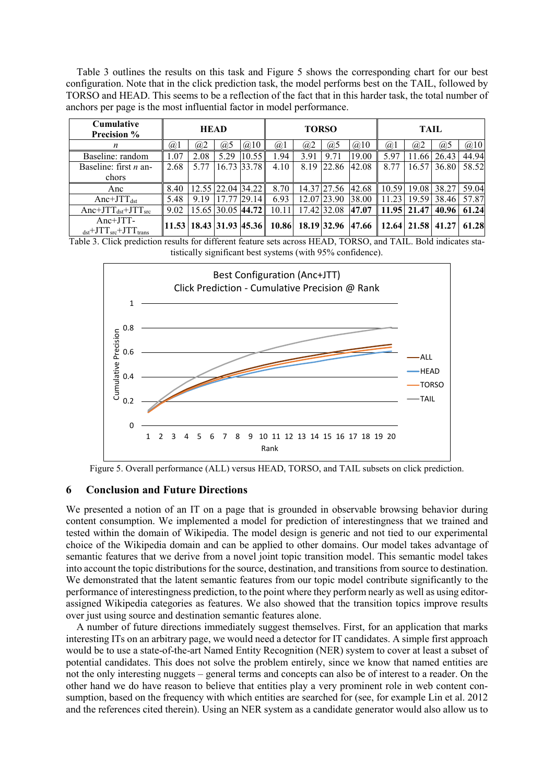Table 3 outlines the results on this task and Figure 5 shows the corresponding chart for our best configuration. Note that in the click prediction task, the model performs best on the TAIL, followed by TORSO and HEAD. This seems to be a reflection of the fact that in this harder task, the total number of anchors per page is the most influential factor in model performance.

| <b>Cumulative</b><br><b>Precision %</b>              | <b>HEAD</b> |      |                   | <b>TORSO</b> |                                              |      |             | TAIL  |            |             |       |       |
|------------------------------------------------------|-------------|------|-------------------|--------------|----------------------------------------------|------|-------------|-------|------------|-------------|-------|-------|
| n                                                    | (a)         | (a)2 | (a)5              | $(a)$ 10     | (a)                                          | (a)2 | (a)5        | @10   | $\omega$ 1 | (a)2        | (a)5  | @10   |
| Baseline: random                                     | 1.07        | 2.08 | 5.29              | 10.55        | 1.94                                         | 3.91 | 9.71        | 19.00 | 5.97       | 11.66       | 26.43 | 44.94 |
| Baseline: first $n$ an-<br>chors                     | 2.68        | 5.77 |                   | 16.73 33.78  | 4.10                                         | 8.19 | 122.86      | 42.08 | 8.77       | 16.57       | 36.80 | 58.52 |
| Anc                                                  | 8.40        |      | 12.55 22.04 34.22 |              | 8.70                                         |      | 14.37 27.56 | 42.68 |            | 10.59 19.08 | 38.27 | 59.04 |
| $Anc+JTT_{dst}$                                      | 5.48        | 9.19 |                   | 29.14        | 6.93                                         |      | 12.07 23.90 | 38.00 | 11.23      | 19.59       | 38.46 | 57.87 |
| Anc+J $TT_{dst}$ +J $TT_{src}$                       | 9.02        |      | 15.65 30.05 44.72 |              | 10.11                                        |      | 17.42 32.08 | 47.07 | 11.95      | 21.47       | 40.96 | 61.24 |
| $Anc+JTT-$<br>$_{dst}$ +J $TT_{src}$ +J $TT_{trans}$ |             |      |                   |              | $ 11.53 18.43 31.93 45.36 10.86 18.19 32.96$ |      |             | 47.66 |            | 12.64 21.58 | 41.27 | 61.28 |

Table 3. Click prediction results for different feature sets across HEAD, TORSO, and TAIL. Bold indicates statistically significant best systems (with 95% confidence).



Figure 5. Overall performance (ALL) versus HEAD, TORSO, and TAIL subsets on click prediction.

#### **6 Conclusion and Future Directions**

We presented a notion of an IT on a page that is grounded in observable browsing behavior during content consumption. We implemented a model for prediction of interestingness that we trained and tested within the domain of Wikipedia. The model design is generic and not tied to our experimental choice of the Wikipedia domain and can be applied to other domains. Our model takes advantage of semantic features that we derive from a novel joint topic transition model. This semantic model takes into account the topic distributions for the source, destination, and transitions from source to destination. We demonstrated that the latent semantic features from our topic model contribute significantly to the performance of interestingness prediction, to the point where they perform nearly as well as using editorassigned Wikipedia categories as features. We also showed that the transition topics improve results over just using source and destination semantic features alone.

A number of future directions immediately suggest themselves. First, for an application that marks interesting ITs on an arbitrary page, we would need a detector for IT candidates. A simple first approach would be to use a state-of-the-art Named Entity Recognition (NER) system to cover at least a subset of potential candidates. This does not solve the problem entirely, since we know that named entities are not the only interesting nuggets – general terms and concepts can also be of interest to a reader. On the other hand we do have reason to believe that entities play a very prominent role in web content consumption, based on the frequency with which entities are searched for (see, for example Lin et al. 2012 and the references cited therein). Using an NER system as a candidate generator would also allow us to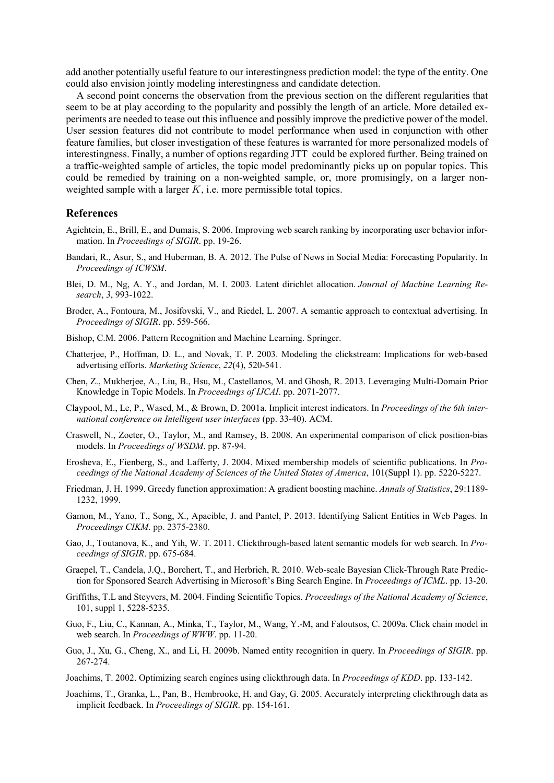add another potentially useful feature to our interestingness prediction model: the type of the entity. One could also envision jointly modeling interestingness and candidate detection.

A second point concerns the observation from the previous section on the different regularities that seem to be at play according to the popularity and possibly the length of an article. More detailed experiments are needed to tease out this influence and possibly improve the predictive power of the model. User session features did not contribute to model performance when used in conjunction with other feature families, but closer investigation of these features is warranted for more personalized models of interestingness. Finally, a number of options regarding JTT could be explored further. Being trained on a traffic-weighted sample of articles, the topic model predominantly picks up on popular topics. This could be remedied by training on a non-weighted sample, or, more promisingly, on a larger nonweighted sample with a larger  $K$ , i.e. more permissible total topics.

#### **References**

- Agichtein, E., Brill, E., and Dumais, S. 2006. Improving web search ranking by incorporating user behavior information. In *Proceedings of SIGIR*. pp. 19-26.
- Bandari, R., Asur, S., and Huberman, B. A. 2012. The Pulse of News in Social Media: Forecasting Popularity. In *Proceedings of ICWSM*.
- Blei, D. M., Ng, A. Y., and Jordan, M. I. 2003. Latent dirichlet allocation. *Journal of Machine Learning Research*, *3*, 993-1022.
- Broder, A., Fontoura, M., Josifovski, V., and Riedel, L. 2007. A semantic approach to contextual advertising. In *Proceedings of SIGIR*. pp. 559-566.
- Bishop, C.M. 2006. Pattern Recognition and Machine Learning. Springer.
- Chatterjee, P., Hoffman, D. L., and Novak, T. P. 2003. Modeling the clickstream: Implications for web-based advertising efforts. *Marketing Science*, *22*(4), 520-541.
- Chen, Z., Mukherjee, A., Liu, B., Hsu, M., Castellanos, M. and Ghosh, R. 2013. Leveraging Multi-Domain Prior Knowledge in Topic Models. In *Proceedings of IJCAI*. pp. 2071-2077.
- Claypool, M., Le, P., Wased, M., & Brown, D. 2001a. Implicit interest indicators. In *Proceedings of the 6th international conference on Intelligent user interfaces* (pp. 33-40). ACM.
- Craswell, N., Zoeter, O., Taylor, M., and Ramsey, B. 2008. An experimental comparison of click position-bias models. In *Proceedings of WSDM*. pp. 87-94.
- Erosheva, E., Fienberg, S., and Lafferty, J. 2004. Mixed membership models of scientific publications. In *Proceedings of the National Academy of Sciences of the United States of America*, 101(Suppl 1). pp. 5220-5227.
- Friedman, J. H. 1999. Greedy function approximation: A gradient boosting machine. *Annals of Statistics*, 29:1189- 1232, 1999.
- Gamon, M., Yano, T., Song, X., Apacible, J. and Pantel, P. 2013. Identifying Salient Entities in Web Pages. In *Proceedings CIKM*. pp. 2375-2380.
- Gao, J., Toutanova, K., and Yih, W. T. 2011. Clickthrough-based latent semantic models for web search. In *Proceedings of SIGIR*. pp. 675-684.
- Graepel, T., Candela, J.Q., Borchert, T., and Herbrich, R. 2010. Web-scale Bayesian Click-Through Rate Prediction for Sponsored Search Advertising in Microsoft's Bing Search Engine. In *Proceedings of ICML*. pp. 13-20.
- Griffiths, T.L and Steyvers, M. 2004. Finding Scientific Topics. *Proceedings of the National Academy of Science*, 101, suppl 1, 5228-5235.
- Guo, F., Liu, C., Kannan, A., Minka, T., Taylor, M., Wang, Y.-M, and Faloutsos, C. 2009a. Click chain model in web search. In *Proceedings of WWW*. pp. 11-20.
- Guo, J., Xu, G., Cheng, X., and Li, H. 2009b. Named entity recognition in query. In *Proceedings of SIGIR*. pp. 267-274.
- Joachims, T. 2002. Optimizing search engines using clickthrough data. In *Proceedings of KDD*. pp. 133-142.
- Joachims, T., Granka, L., Pan, B., Hembrooke, H. and Gay, G. 2005. Accurately interpreting clickthrough data as implicit feedback. In *Proceedings of SIGIR*. pp. 154-161.